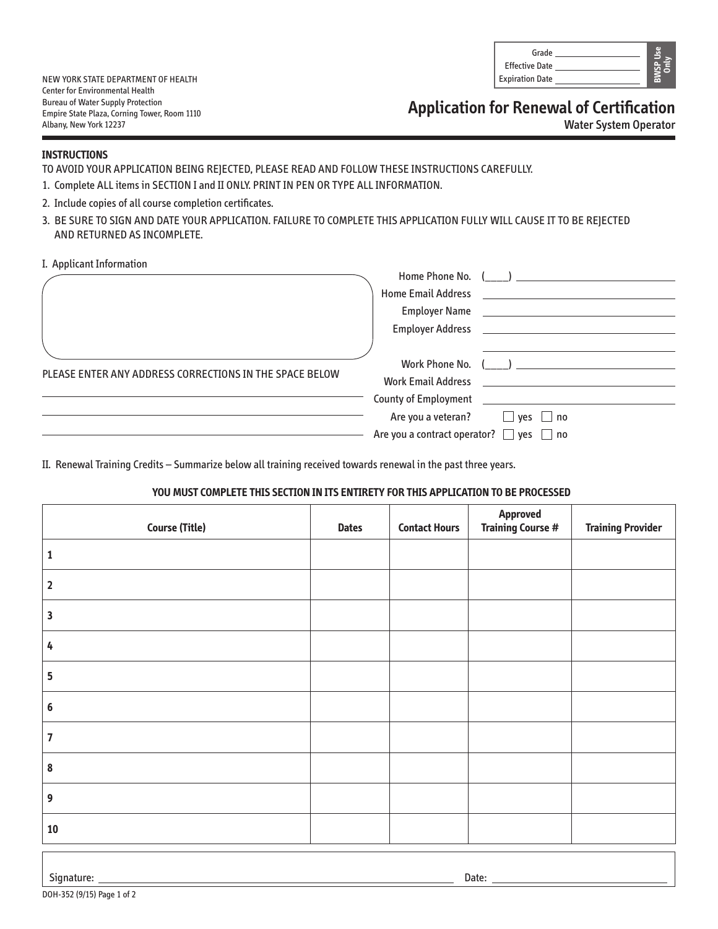| Grade                  |  |
|------------------------|--|
| <b>Effective Date</b>  |  |
| <b>Expiration Date</b> |  |

NEW YORK STATE DEPARTMENT OF HEALTH Center for Environmental Health Bureau of Water Supply Protection Empire State Plaza, Corning Tower, Room 1110 Albany, New York 12237

**Application for Renewal of Certification**

Water System Operator

## **INSTRUCTIONS**

TO AVOID YOUR APPLICATION BEING REJECTED, PLEASE READ AND FOLLOW THESE INSTRUCTIONS CAREFULLY.

- 1. Complete ALL items in SECTION I and II ONLY. PRINT IN PEN OR TYPE ALL INFORMATION.
- 2. Include copies of all course completion certificates.
- 3. BE SURE TO SIGN AND DATE YOUR APPLICATION. FAILURE TO COMPLETE THIS APPLICATION FULLY WILL CAUSE IT TO BE REJECTED AND RETURNED AS INCOMPLETE.
- I. Applicant Information

|                                                         |                                                   | Home Phone No. ( )<br>Home Email Address <b>Example 20</b> Figures 1                                            |
|---------------------------------------------------------|---------------------------------------------------|-----------------------------------------------------------------------------------------------------------------|
|                                                         |                                                   |                                                                                                                 |
|                                                         |                                                   |                                                                                                                 |
|                                                         |                                                   |                                                                                                                 |
| PLEASE ENTER ANY ADDRESS CORRECTIONS IN THE SPACE BELOW |                                                   | Work Phone No. ( )                                                                                              |
|                                                         |                                                   | Work Email Address New York Channels and Service Channels and Service Channels and Service Channels and Service |
|                                                         |                                                   | County of Employment <u>___________________________</u>                                                         |
|                                                         |                                                   | Are you a veteran? $\Box$ yes $\Box$ no                                                                         |
|                                                         | Are you a contract operator? $\Box$ yes $\Box$ no |                                                                                                                 |
|                                                         |                                                   |                                                                                                                 |

II. Renewal Training Credits – Summarize below all training received towards renewal in the past three years.

## **YOU MUST COMPLETE THIS SECTION IN ITS ENTIRETY FOR THIS APPLICATION TO BE PROCESSED**

| <b>Course (Title)</b>   | <b>Dates</b> | <b>Contact Hours</b> | Approved<br><b>Training Course #</b> | <b>Training Provider</b> |
|-------------------------|--------------|----------------------|--------------------------------------|--------------------------|
| 1                       |              |                      |                                      |                          |
| $\overline{\mathbf{2}}$ |              |                      |                                      |                          |
| $\overline{\mathbf{3}}$ |              |                      |                                      |                          |
| $\pmb{4}$               |              |                      |                                      |                          |
| $5\phantom{a}$          |              |                      |                                      |                          |
| $\boldsymbol{6}$        |              |                      |                                      |                          |
| $\overline{7}$          |              |                      |                                      |                          |
| $\pmb{8}$               |              |                      |                                      |                          |
| $\boldsymbol{9}$        |              |                      |                                      |                          |
| ${\bf 10}$              |              |                      |                                      |                          |